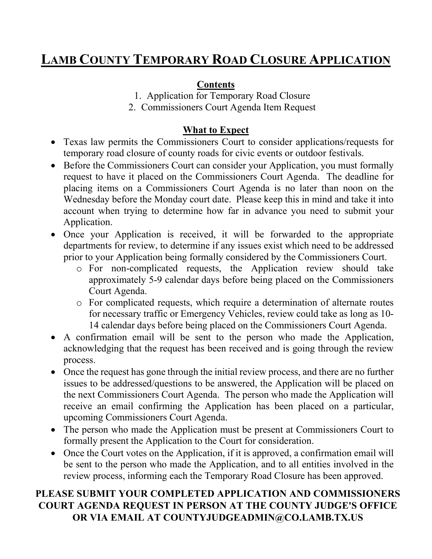# **LAMB COUNTY TEMPORARY ROAD CLOSURE APPLICATION**

## **Contents**

1. Application for Temporary Road Closure

2. Commissioners Court Agenda Item Request

## **What to Expect**

- Texas law permits the Commissioners Court to consider applications/requests for temporary road closure of county roads for civic events or outdoor festivals.
- Before the Commissioners Court can consider your Application, you must formally request to have it placed on the Commissioners Court Agenda. The deadline for placing items on a Commissioners Court Agenda is no later than noon on the Wednesday before the Monday court date. Please keep this in mind and take it into account when trying to determine how far in advance you need to submit your Application.
- Once your Application is received, it will be forwarded to the appropriate departments for review, to determine if any issues exist which need to be addressed prior to your Application being formally considered by the Commissioners Court.
	- o For non-complicated requests, the Application review should take approximately 5-9 calendar days before being placed on the Commissioners Court Agenda.
	- o For complicated requests, which require a determination of alternate routes for necessary traffic or Emergency Vehicles, review could take as long as 10- 14 calendar days before being placed on the Commissioners Court Agenda.
- A confirmation email will be sent to the person who made the Application, acknowledging that the request has been received and is going through the review process.
- Once the request has gone through the initial review process, and there are no further issues to be addressed/questions to be answered, the Application will be placed on the next Commissioners Court Agenda. The person who made the Application will receive an email confirming the Application has been placed on a particular, upcoming Commissioners Court Agenda.
- The person who made the Application must be present at Commissioners Court to formally present the Application to the Court for consideration.
- Once the Court votes on the Application, if it is approved, a confirmation email will be sent to the person who made the Application, and to all entities involved in the review process, informing each the Temporary Road Closure has been approved.

## **PLEASE SUBMIT YOUR COMPLETED APPLICATION AND COMMISSIONERS COURT AGENDA REQUEST IN PERSON AT THE COUNTY JUDGE'S OFFICE OR VIA EMAIL AT COUNTYJUDGEADMIN@CO.LAMB.TX.US**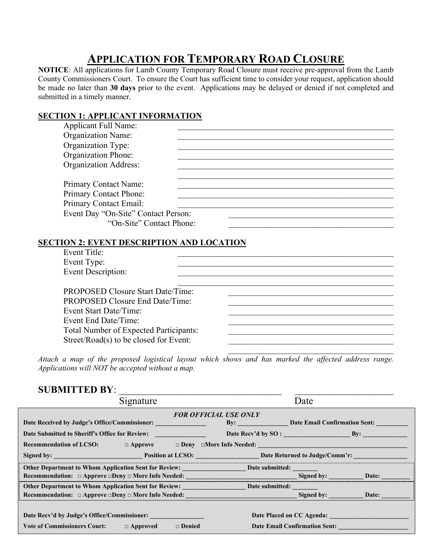## **APPLICATION FOR TEMPORARY ROAD CLOSURE**

**NOTICE**: All applications for Lamb County Temporary Road Closure must receive pre-approval from the Lamb County Commissioners Court. To ensure the Court has sufficient time to consider your request, application should be made no later than **30 days** prior to the event. Applications may be delayed or denied if not completed and submitted in a timely manner.

#### **SECTION 1: APPLICANT INFORMATION**  $\Delta$ pplicant  $\text{Full } \text{Name}$

| Applicalit Full Natile.             |  |  |
|-------------------------------------|--|--|
| <b>Organization Name:</b>           |  |  |
| Organization Type:                  |  |  |
| <b>Organization Phone:</b>          |  |  |
| <b>Organization Address:</b>        |  |  |
|                                     |  |  |
| Primary Contact Name:               |  |  |
| Primary Contact Phone:              |  |  |
| <b>Primary Contact Email:</b>       |  |  |
| Event Day "On-Site" Contact Person: |  |  |
| "On-Site" Contact Phone:            |  |  |

### Event Title: Event Type: Event Description:  $\mathcal{L}_\mathcal{L}$  , and the contribution of the contribution of the contribution of the contribution of the contribution of the contribution of the contribution of the contribution of the contribution of the contribution of PROPOSED Closure Start Date/Time: PROPOSED Closure End Date/Time: Event Start Date/Time: Event End Date/Time: Total Number of Expected Participants: Street/ $\text{Read}(s)$  to be closed for Event:

*Attach a map of the proposed logistical layout which shows and has marked the affected address range. Applications will NOT be accepted without a map.* 

 $\mathcal{L}_\mathcal{L}$  , which is a set of the set of the set of the set of the set of the set of the set of the set of the set of the set of the set of the set of the set of the set of the set of the set of the set of the set of

### SUBMITTED BY:

|                                                                                    | Signature     |                                   | Date                          |                           |  |  |
|------------------------------------------------------------------------------------|---------------|-----------------------------------|-------------------------------|---------------------------|--|--|
| <b>FOR OFFICIAL USE ONLY</b>                                                       |               |                                   |                               |                           |  |  |
| Date Received by Judge's Office/Commissioner:                                      |               | By: Date Email Confirmation Sent: |                               |                           |  |  |
| Date Submitted to Sheriff's Office for Review:                                     |               |                                   |                               |                           |  |  |
| <b>Recommendation of LCSO:</b> $\Box$ Approve $\Box$ Deny $\Box$ More Info Needed: |               |                                   |                               |                           |  |  |
|                                                                                    |               |                                   |                               |                           |  |  |
|                                                                                    |               |                                   |                               |                           |  |  |
| Recommendation: $\Box$ Approve $\Box$ Deny $\Box$ More Info Needed:                |               |                                   |                               | Signed by: Date:          |  |  |
| Other Department to Whom Application Sent for Review: Date submitted:              |               |                                   |                               |                           |  |  |
| <b>Recommendation:</b> $\Box$ Approve $\Box$ Deny $\Box$ More Info Needed:         |               |                                   |                               | Signed by: Date:          |  |  |
|                                                                                    |               |                                   |                               |                           |  |  |
| Date Recv'd by Judge's Office/Commissioner:                                        |               |                                   |                               | Date Placed on CC Agenda: |  |  |
| Vote of Commissioners Court: $\Box$ Approved                                       | $\Box$ Denied |                                   | Date Email Confirmation Sent: |                           |  |  |